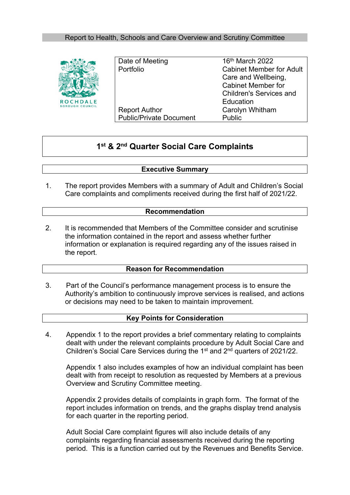### Report to Health, Schools and Care Overview and Scrutiny Committee



Date of Meeting 16th March 2022 Portfolio Cabinet Member for Adult Report Author Carolyn Whitham Public/Private Document Public

Care and Wellbeing, Cabinet Member for Children's Services and **Education** 

# **1 st & 2 nd Quarter Social Care Complaints**

#### **Executive Summary**

1. The report provides Members with a summary of Adult and Children's Social Care complaints and compliments received during the first half of 2021/22.

#### **Recommendation**

2. It is recommended that Members of the Committee consider and scrutinise the information contained in the report and assess whether further information or explanation is required regarding any of the issues raised in the report.

#### **Reason for Recommendation**

3. Part of the Council's performance management process is to ensure the Authority's ambition to continuously improve services is realised, and actions or decisions may need to be taken to maintain improvement.

#### **Key Points for Consideration**

4. Appendix 1 to the report provides a brief commentary relating to complaints dealt with under the relevant complaints procedure by Adult Social Care and Children's Social Care Services during the 1<sup>st</sup> and 2<sup>nd</sup> quarters of 2021/22.

Appendix 1 also includes examples of how an individual complaint has been dealt with from receipt to resolution as requested by Members at a previous Overview and Scrutiny Committee meeting.

Appendix 2 provides details of complaints in graph form. The format of the report includes information on trends, and the graphs display trend analysis for each quarter in the reporting period.

Adult Social Care complaint figures will also include details of any complaints regarding financial assessments received during the reporting period. This is a function carried out by the Revenues and Benefits Service.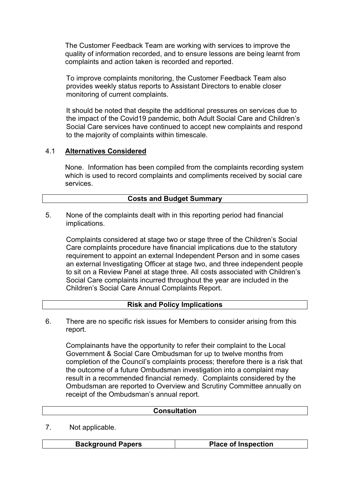The Customer Feedback Team are working with services to improve the quality of information recorded, and to ensure lessons are being learnt from complaints and action taken is recorded and reported.

To improve complaints monitoring, the Customer Feedback Team also provides weekly status reports to Assistant Directors to enable closer monitoring of current complaints.

It should be noted that despite the additional pressures on services due to the impact of the Covid19 pandemic, both Adult Social Care and Children's Social Care services have continued to accept new complaints and respond to the majority of complaints within timescale.

#### 4.1 **Alternatives Considered**

None. Information has been compiled from the complaints recording system which is used to record complaints and compliments received by social care services.

#### **Costs and Budget Summary**

5. None of the complaints dealt with in this reporting period had financial implications.

Complaints considered at stage two or stage three of the Children's Social Care complaints procedure have financial implications due to the statutory requirement to appoint an external Independent Person and in some cases an external Investigating Officer at stage two, and three independent people to sit on a Review Panel at stage three. All costs associated with Children's Social Care complaints incurred throughout the year are included in the Children's Social Care Annual Complaints Report.

#### **Risk and Policy Implications**

There are no specific risk issues for Members to consider arising from this report. 6.

Complainants have the opportunity to refer their complaint to the Local Government & Social Care Ombudsman for up to twelve months from completion of the Council's complaints process; therefore there is a risk that the outcome of a future Ombudsman investigation into a complaint may result in a recommended financial remedy. Complaints considered by the Ombudsman are reported to Overview and Scrutiny Committee annually on receipt of the Ombudsman's annual report.

| <b>Consultation</b> |  |  |  |  |  |
|---------------------|--|--|--|--|--|
|                     |  |  |  |  |  |

7. Not applicable.

**Background Papers Place of Inspection**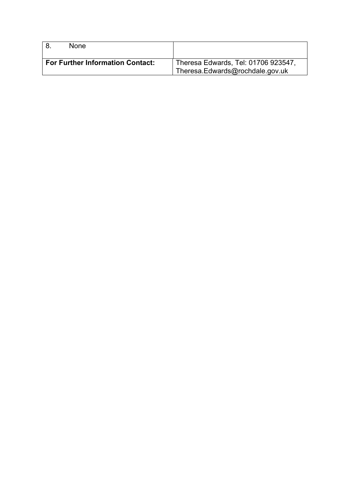|                                         | <b>None</b> |                                                                        |
|-----------------------------------------|-------------|------------------------------------------------------------------------|
| <b>For Further Information Contact:</b> |             | Theresa Edwards, Tel: 01706 923547,<br>Theresa.Edwards@rochdale.gov.uk |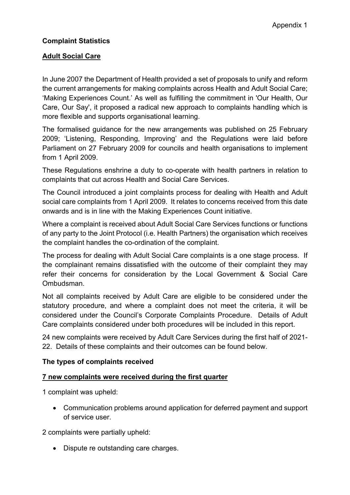# **Complaint Statistics**

### **Adult Social Care**

In June 2007 the Department of Health provided a set of proposals to unify and reform the current arrangements for making complaints across Health and Adult Social Care; 'Making [Experiences](http://www.dh.gov.uk/en/Managingyourorganisation/Legalandcontractual/Complaintspolicy/MakingExperiencesCount/index.htm) Count.' As well as fulfilling the commitment in 'Our Health, Our Care, Our Say', it proposed a radical new approach to complaints handling which is more flexible and supports organisational learning.

The formalised guidance for the new arrangements was published on 25 February 2009; 'Listening, [Responding,](http://www.dh.gov.uk/en/Publicationsandstatistics/Publications/PublicationsPolicyAndGuidance/DH_095408) Improving' and the [Regulations](http://www.opsi.gov.uk/si/si2009/uksi_20090309_en_1) were laid before Parliament on 27 February 2009 for councils and health organisations to implement from 1 April 2009.

These Regulations enshrine a duty to co-operate with health partners in relation to complaints that cut across Health and Social Care Services.

The Council introduced a joint complaints process for dealing with Health and Adult social care complaints from 1 April 2009. It relates to concerns received from this date onwards and is in line with the Making Experiences Count initiative.

Where a complaint is received about Adult Social Care Services functions or functions of any party to the Joint Protocol (i.e. Health Partners) the organisation which receives the complaint handles the co-ordination of the complaint.

The process for dealing with Adult Social Care complaints is a one stage process. If the complainant remains dissatisfied with the outcome of their complaint they may refer their concerns for consideration by the Local Government & Social Care Ombudsman.

Not all complaints received by Adult Care are eligible to be considered under the statutory procedure, and where a complaint does not meet the criteria, it will be considered under the Council's Corporate Complaints Procedure. Details of Adult Care complaints considered under both procedures will be included in this report.

24 new complaints were received by Adult Care Services during the first half of 2021- 22. Details of these complaints and their outcomes can be found below.

#### **The types of complaints received**

#### **7 new complaints were received during the first quarter**

1 complaint was upheld:

 Communication problems around application for deferred payment and support of service user.

2 complaints were partially upheld:

• Dispute re outstanding care charges.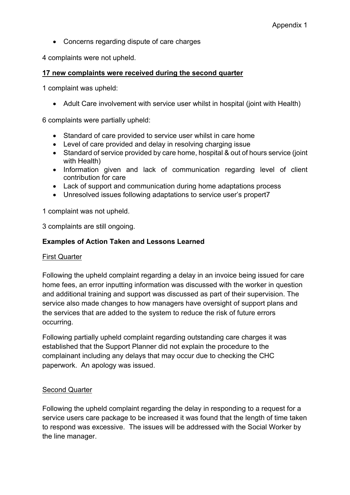• Concerns regarding dispute of care charges

4 complaints were not upheld.

#### **17 new complaints were received during the second quarter**

1 complaint was upheld:

Adult Care involvement with service user whilst in hospital (joint with Health)

6 complaints were partially upheld:

- Standard of care provided to service user whilst in care home
- Level of care provided and delay in resolving charging issue
- Standard of service provided by care home, hospital & out of hours service (joint with Health)
- Information given and lack of communication regarding level of client contribution for care
- Lack of support and communication during home adaptations process
- Unresolved issues following adaptations to service user's propert7

1 complaint was not upheld.

3 complaints are still ongoing.

#### **Examples of Action Taken and Lessons Learned**

#### First Quarter

Following the upheld complaint regarding a delay in an invoice being issued for care home fees, an error inputting information was discussed with the worker in question and additional training and support was discussed as part of their supervision. The service also made changes to how managers have oversight of support plans and the services that are added to the system to reduce the risk of future errors occurring.

Following partially upheld complaint regarding outstanding care charges it was established that the Support Planner did not explain the procedure to the complainant including any delays that may occur due to checking the CHC paperwork. An apology was issued.

# Second Quarter

Following the upheld complaint regarding the delay in responding to a request for a service users care package to be increased it was found that the length of time taken to respond was excessive. The issues will be addressed with the Social Worker by the line manager.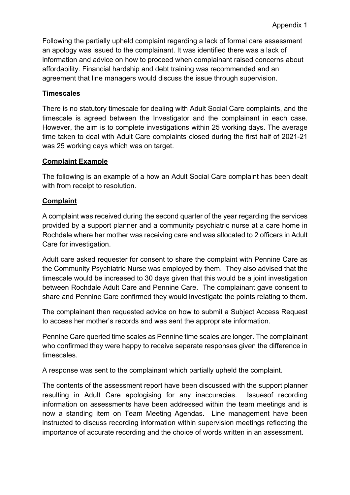Following the partially upheld complaint regarding a lack of formal care assessment an apology was issued to the complainant. It was identified there was a lack of information and advice on how to proceed when complainant raised concerns about affordability. Financial hardship and debt training was recommended and an agreement that line managers would discuss the issue through supervision.

#### **Timescales**

There is no statutory timescale for dealing with Adult Social Care complaints, and the timescale is agreed between the Investigator and the complainant in each case. However, the aim is to complete investigations within 25 working days. The average time taken to deal with Adult Care complaints closed during the first half of 2021-21 was 25 working days which was on target.

#### **Complaint Example**

The following is an example of a how an Adult Social Care complaint has been dealt with from receipt to resolution.

#### **Complaint**

A complaint was received during the second quarter of the year regarding the services provided by a support planner and a community psychiatric nurse at a care home in Rochdale where her mother was receiving care and was allocated to 2 officers in Adult Care for investigation.

Adult care asked requester for consent to share the complaint with Pennine Care as the Community Psychiatric Nurse was employed by them. They also advised that the timescale would be increased to 30 days given that this would be a joint investigation between Rochdale Adult Care and Pennine Care. The complainant gave consent to share and Pennine Care confirmed they would investigate the points relating to them.

The complainant then requested advice on how to submit a Subject Access Request to access her mother's records and was sent the appropriate information.

Pennine Care queried time scales as Pennine time scales are longer. The complainant who confirmed they were happy to receive separate responses given the difference in timescales.

A response was sent to the complainant which partially upheld the complaint.

The contents of the assessment report have been discussed with the support planner resulting in Adult Care apologising for any inaccuracies. Issuesof recording information on assessments have been addressed within the team meetings and is now a standing item on Team Meeting Agendas. Line management have been instructed to discuss recording information within supervision meetings reflecting the importance of accurate recording and the choice of words written in an assessment.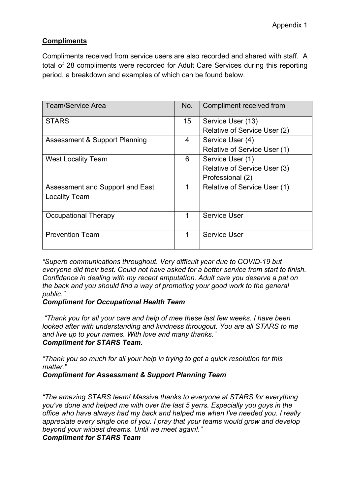# **Compliments**

Compliments received from service users are also recorded and shared with staff. A total of 28 compliments were recorded for Adult Care Services during this reporting period, a breakdown and examples of which can be found below.

| <b>Team/Service Area</b>                 | No.         | Compliment received from     |
|------------------------------------------|-------------|------------------------------|
| <b>STARS</b>                             | 15          | Service User (13)            |
|                                          |             | Relative of Service User (2) |
| <b>Assessment &amp; Support Planning</b> | 4           | Service User (4)             |
|                                          |             | Relative of Service User (1) |
| <b>West Locality Team</b>                | 6           | Service User (1)             |
|                                          |             | Relative of Service User (3) |
|                                          |             | Professional (2)             |
| Assessment and Support and East          | 1           | Relative of Service User (1) |
| <b>Locality Team</b>                     |             |                              |
|                                          |             |                              |
| Occupational Therapy                     | $\mathbf 1$ | <b>Service User</b>          |
|                                          |             |                              |
| <b>Prevention Team</b>                   | 1           | <b>Service User</b>          |
|                                          |             |                              |

*"Superb communications throughout. Very difficult year due to COVID-19 but everyone did their best. Could not have asked for a better service from start to finish. Confidence in dealing with my recent amputation. Adult care you deserve a pat on the back and you should find a way of promoting your good work to the general public."*

# *Compliment for Occupational Health Team*

*"Thank you for all your care and help of mee these last few weeks. I have been looked after with understanding and kindness througout. You are all STARS to me and live up to your names. With love and many thanks." Compliment for STARS Team.*

*"Thank you so much for all your help in trying to get a quick resolution for this matter."*

*Compliment for Assessment & Support Planning Team*

*"The amazing STARS team! Massive thanks to everyone at STARS for everything you've done and helped me with over the last 5 yerrs. Especially you guys in the office who have always had my back and helped me when I've needed you. I really appreciate every single one of you. I pray that your teams would grow and develop beyond your wildest dreams. Until we meet again!."*

*Compliment for STARS Team*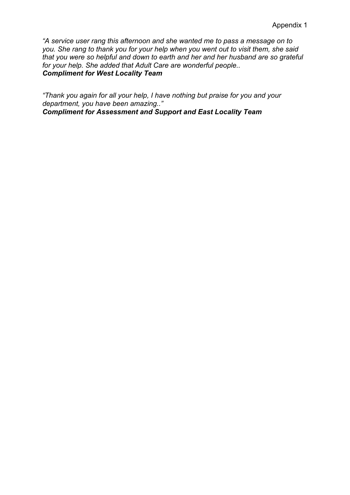*"A service user rang this afternoon and she wanted me to pass a message on to you. She rang to thank you for your help when you went out to visit them, she said that you were so helpful and down to earth and her and her husband are so grateful for your help. She added that Adult Care are wonderful people.. Compliment for West Locality Team*

*"Thank you again for all your help, I have nothing but praise for you and your department, you have been amazing.." Compliment for Assessment and Support and East Locality Team*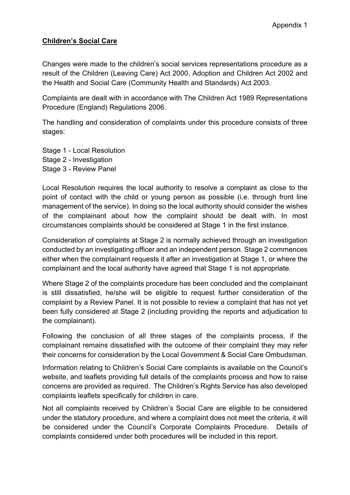### **Children's Social Care**

Changes were made to the children's social services representations procedure as a result of the Children (Leaving Care) Act 2000, Adoption and Children Act 2002 and the Health and Social Care (Community Health and Standards) Act 2003.

Complaints are dealt with in accordance with The Children Act 1989 Representations Procedure (England) Regulations 2006.

The handling and consideration of complaints under this procedure consists of three stages:

Stage 1 - Local Resolution Stage 2 - Investigation Stage 3 - Review Panel

Local Resolution requires the local authority to resolve a complaint as close to the point of contact with the child or young person as possible (i.e. through front line management of the service). In doing so the local authority should consider the wishes of the complainant about how the complaint should be dealt with. In most circumstances complaints should be considered at Stage 1 in the first instance.

Consideration of complaints at Stage 2 is normally achieved through an investigation conducted by an investigating officer and an independent person. Stage 2 commences either when the complainant requests it after an investigation at Stage 1, or where the complainant and the local authority have agreed that Stage 1 is not appropriate.

Where Stage 2 of the complaints procedure has been concluded and the complainant is still dissatisfied, he/she will be eligible to request further consideration of the complaint by a Review Panel. It is not possible to review a complaint that has not yet been fully considered at Stage 2 (including providing the reports and adjudication to the complainant).

Following the conclusion of all three stages of the complaints process, if the complainant remains dissatisfied with the outcome of their complaint they may refer their concerns for consideration by the Local Government & Social Care Ombudsman.

Information relating to Children's Social Care complaints is available on the Council's website, and leaflets providing full details of the complaints process and how to raise concerns are provided as required. The Children's Rights Service has also developed complaints leaflets specifically for children in care.

Not all complaints received by Children's Social Care are eligible to be considered under the statutory procedure, and where a complaint does not meet the criteria, it will be considered under the Council's Corporate Complaints Procedure. Details of complaints considered under both procedures will be included in this report.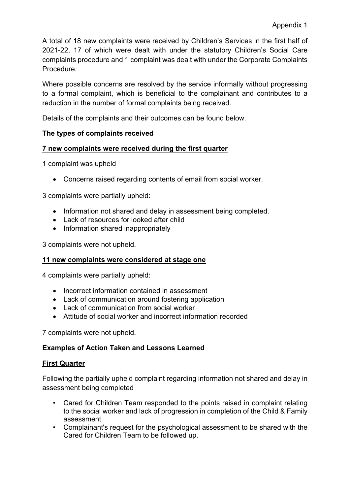A total of 18 new complaints were received by Children's Services in the first half of 2021-22, 17 of which were dealt with under the statutory Children's Social Care complaints procedure and 1 complaint was dealt with under the Corporate Complaints Procedure.

Where possible concerns are resolved by the service informally without progressing to a formal complaint, which is beneficial to the complainant and contributes to a reduction in the number of formal complaints being received.

Details of the complaints and their outcomes can be found below.

# **The types of complaints received**

# **7 new complaints were received during the first quarter**

1 complaint was upheld

Concerns raised regarding contents of email from social worker.

3 complaints were partially upheld:

- Information not shared and delay in assessment being completed.
- Lack of resources for looked after child
- Information shared inappropriately

3 complaints were not upheld.

# **11 new complaints were considered at stage one**

4 complaints were partially upheld:

- Incorrect information contained in assessment
- Lack of communication around fostering application
- Lack of communication from social worker
- Attitude of social worker and incorrect information recorded

7 complaints were not upheld.

# **Examples of Action Taken and Lessons Learned**

# **First Quarter**

Following the partially upheld complaint regarding information not shared and delay in assessment being completed

- Cared for Children Team responded to the points raised in complaint relating to the social worker and lack of progression in completion of the Child & Family assessment.
- Complainant's request for the psychological assessment to be shared with the Cared for Children Team to be followed up.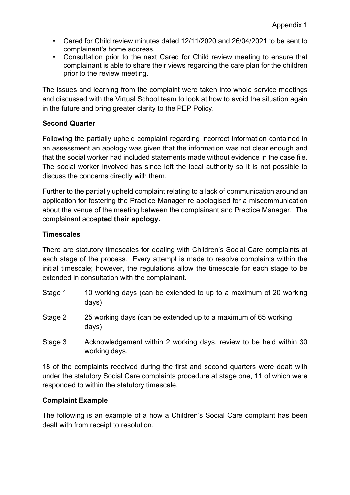- Cared for Child review minutes dated 12/11/2020 and 26/04/2021 to be sent to complainant's home address.
- Consultation prior to the next Cared for Child review meeting to ensure that complainant is able to share their views regarding the care plan for the children prior to the review meeting.

The issues and learning from the complaint were taken into whole service meetings and discussed with the Virtual School team to look at how to avoid the situation again in the future and bring greater clarity to the PEP Policy.

### **Second Quarter**

Following the partially upheld complaint regarding incorrect information contained in an assessment an apology was given that the information was not clear enough and that the social worker had included statements made without evidence in the case file. The social worker involved has since left the local authority so it is not possible to discuss the concerns directly with them.

Further to the partially upheld complaint relating to a lack of communication around an application for fostering the Practice Manager re apologised for a miscommunication about the venue of the meeting between the complainant and Practice Manager. The complainant acce**pted their apology.**

#### **Timescales**

There are statutory timescales for dealing with Children's Social Care complaints at each stage of the process. Every attempt is made to resolve complaints within the initial timescale; however, the regulations allow the timescale for each stage to be extended in consultation with the complainant.

- Stage 1 10 working days (can be extended to up to a maximum of 20 working days)
- Stage 2 25 working days (can be extended up to a maximum of 65 working days)
- Stage 3 Acknowledgement within 2 working days, review to be held within 30 working days.

18 of the complaints received during the first and second quarters were dealt with under the statutory Social Care complaints procedure at stage one, 11 of which were responded to within the statutory timescale.

#### **Complaint Example**

The following is an example of a how a Children's Social Care complaint has been dealt with from receipt to resolution.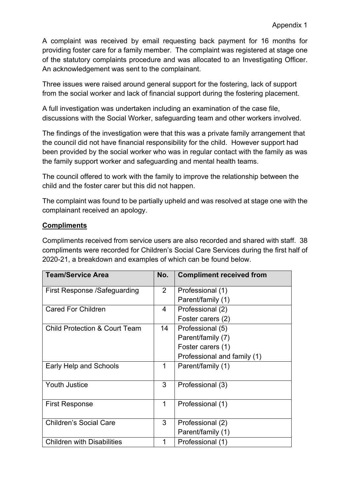A complaint was received by email requesting back payment for 16 months for providing foster care for a family member. The complaint was registered at stage one of the statutory complaints procedure and was allocated to an Investigating Officer. An acknowledgement was sent to the complainant.

Three issues were raised around general support for the fostering, lack of support from the social worker and lack of financial support during the fostering placement.

A full investigation was undertaken including an examination of the case file, discussions with the Social Worker, safeguarding team and other workers involved.

The findings of the investigation were that this was a private family arrangement that the council did not have financial responsibility for the child. However support had been provided by the social worker who was in regular contact with the family as was the family support worker and safeguarding and mental health teams.

The council offered to work with the family to improve the relationship between the child and the foster carer but this did not happen.

The complaint was found to be partially upheld and was resolved at stage one with the complainant received an apology.

# **Compliments**

Compliments received from service users are also recorded and shared with staff. 38 compliments were recorded for Children's Social Care Services during the first half of 2020-21, a breakdown and examples of which can be found below.

| <b>Team/Service Area</b>                 | No.            | <b>Compliment received from</b> |
|------------------------------------------|----------------|---------------------------------|
| First Response /Safeguarding             | $\overline{2}$ | Professional (1)                |
|                                          |                | Parent/family (1)               |
| <b>Cared For Children</b>                | 4              | Professional (2)                |
|                                          |                | Foster carers (2)               |
| <b>Child Protection &amp; Court Team</b> | 14             | Professional (5)                |
|                                          |                | Parent/family (7)               |
|                                          |                | Foster carers (1)               |
|                                          |                | Professional and family (1)     |
| Early Help and Schools                   | 1              | Parent/family (1)               |
| Youth Justice                            | 3              | Professional (3)                |
| <b>First Response</b>                    | 1              | Professional (1)                |
| <b>Children's Social Care</b>            | 3              | Professional (2)                |
|                                          |                | Parent/family (1)               |
| <b>Children with Disabilities</b>        | 1              | Professional (1)                |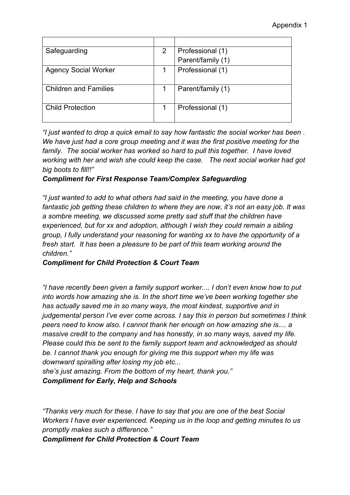| Safeguarding                 | 2 | Professional (1)  |
|------------------------------|---|-------------------|
|                              |   | Parent/family (1) |
| <b>Agency Social Worker</b>  |   | Professional (1)  |
| <b>Children and Families</b> |   | Parent/family (1) |
| <b>Child Protection</b>      |   | Professional (1)  |

*"I just wanted to drop a quick email to say how fantastic the social worker has been . We have just had a core group meeting and it was the first positive meeting for the family. The social worker has worked so hard to pull this together. I have loved working with her and wish she could keep the case. The next social worker had got big boots to fill!!"*

#### *Compliment for First Response Team/Complex Safeguarding*

*"I just wanted to add to what others had said in the meeting, you have done a fantastic job getting these children to where they are now, it's not an easy job. It was a sombre meeting, we discussed some pretty sad stuff that the children have experienced, but for xx and adoption, although I wish they could remain a sibling group, I fully understand your reasoning for wanting xx to have the opportunity of a fresh start. It has been a pleasure to be part of this team working around the children."* 

#### *Compliment for Child Protection & Court Team*

*"I have recently been given a family support worker.... I don't even know how to put into words how amazing she is. In the short time we've been working together she has actually saved me in so many ways, the most kindest, supportive and in judgemental person I've ever come across. I say this in person but sometimes I think peers need to know also. I cannot thank her enough on how amazing she is.... a massive credit to the company and has honestly, in so many ways, saved my life. Please could this be sent to the family support team and acknowledged as should be. I cannot thank you enough for giving me this support when my life was downward spiralling after losing my job etc...*

*she's just amazing. From the bottom of my heart, thank you." Compliment for Early, Help and Schools*

*"Thanks very much for these. I have to say that you are one of the best Social Workers I have ever experienced. Keeping us in the loop and getting minutes to us promptly makes such a difference."*

*Compliment for Child Protection & Court Team*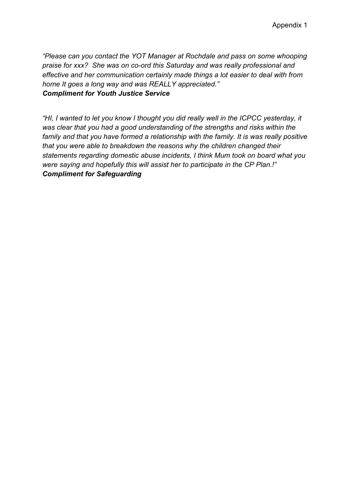*"Please can you contact the YOT Manager at Rochdale and pass on some whooping praise for xxx? She was on co-ord this Saturday and was really professional and effective and her communication certainly made things a lot easier to deal with from home It goes a long way and was REALLY appreciated." Compliment for Youth Justice Service* 

*"HI, I wanted to let you know I thought you did really well in the ICPCC yesterday, it was clear that you had a good understanding of the strengths and risks within the family and that you have formed a relationship with the family. It is was really positive that you were able to breakdown the reasons why the children changed their statements regarding domestic abuse incidents, I think Mum took on board what you were saying and hopefully this will assist her to participate in the CP Plan.!" Compliment for Safeguarding*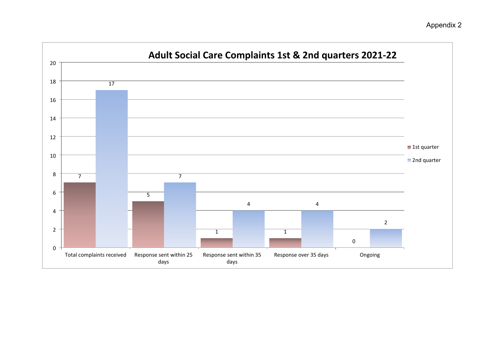# Appendix 2

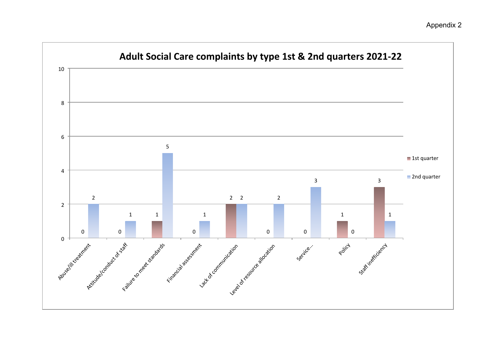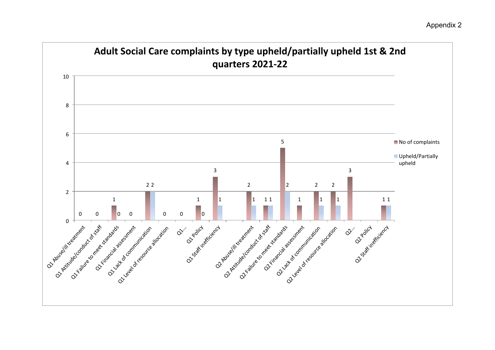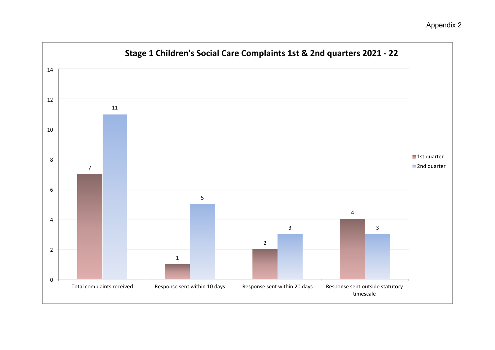# Appendix 2

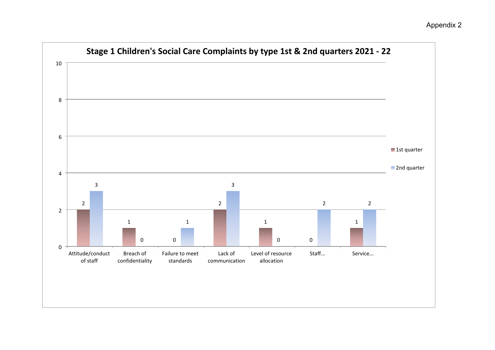